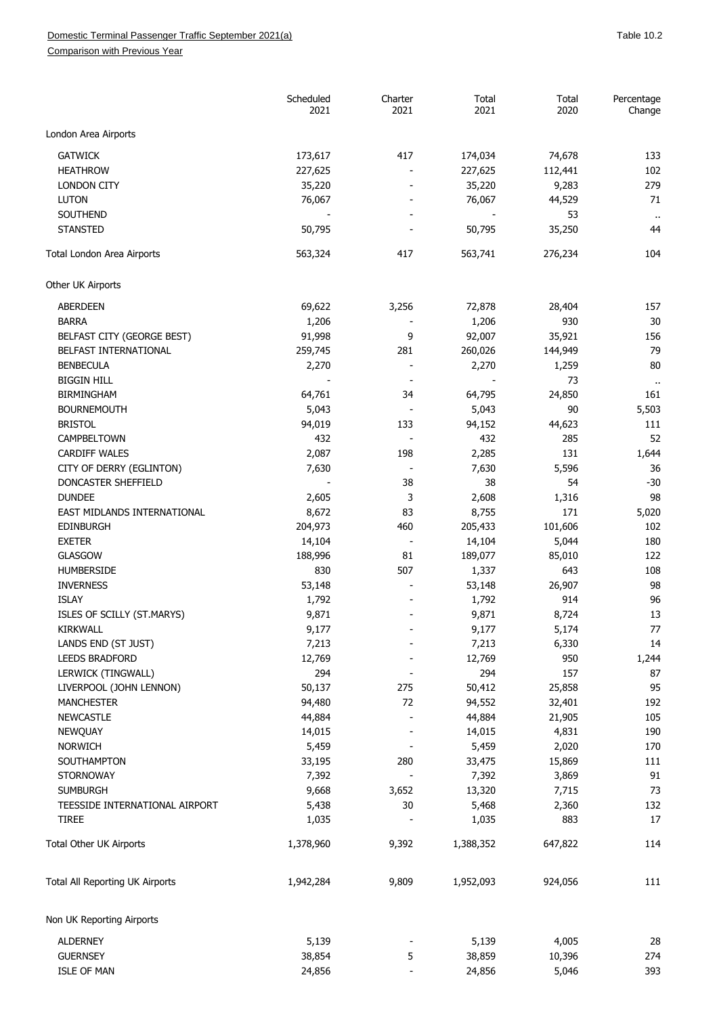Comparison with Previous Year

|                                 | Scheduled<br>2021 | Charter<br>2021          | Total<br>2021 | Total<br>2020 | Percentage<br>Change       |
|---------------------------------|-------------------|--------------------------|---------------|---------------|----------------------------|
| London Area Airports            |                   |                          |               |               |                            |
| <b>GATWICK</b>                  | 173,617           | 417                      | 174,034       | 74,678        | 133                        |
| <b>HEATHROW</b>                 | 227,625           |                          | 227,625       | 112,441       | 102                        |
| <b>LONDON CITY</b>              | 35,220            |                          | 35,220        | 9,283         | 279                        |
| <b>LUTON</b>                    | 76,067            |                          | 76,067        | 44,529        | 71                         |
| SOUTHEND                        |                   |                          |               | 53            |                            |
| <b>STANSTED</b>                 | 50,795            |                          | 50,795        | 35,250        | $\ddot{\phantom{1}}$<br>44 |
| Total London Area Airports      | 563,324           | 417                      | 563,741       | 276,234       | 104                        |
| Other UK Airports               |                   |                          |               |               |                            |
| <b>ABERDEEN</b>                 | 69,622            | 3,256                    | 72,878        | 28,404        | 157                        |
| <b>BARRA</b>                    | 1,206             |                          | 1,206         | 930           | 30                         |
| BELFAST CITY (GEORGE BEST)      | 91,998            | 9                        | 92,007        | 35,921        | 156                        |
| BELFAST INTERNATIONAL           | 259,745           | 281                      | 260,026       | 144,949       | 79                         |
| <b>BENBECULA</b>                | 2,270             | $\overline{\phantom{a}}$ | 2,270         | 1,259         | 80                         |
| <b>BIGGIN HILL</b>              |                   |                          |               | 73            | $\ddot{\phantom{1}}$       |
| <b>BIRMINGHAM</b>               | 64,761            | 34                       | 64,795        | 24,850        | 161                        |
| <b>BOURNEMOUTH</b>              | 5,043             |                          | 5,043         | 90            | 5,503                      |
| <b>BRISTOL</b>                  | 94,019            | 133                      | 94,152        | 44,623        | 111                        |
| CAMPBELTOWN                     | 432               | $\sim$                   | 432           | 285           | 52                         |
| <b>CARDIFF WALES</b>            | 2,087             | 198                      | 2,285         | 131           | 1,644                      |
| CITY OF DERRY (EGLINTON)        | 7,630             |                          | 7,630         | 5,596         | 36                         |
| DONCASTER SHEFFIELD             |                   | 38                       | 38            | 54            | $-30$                      |
| <b>DUNDEE</b>                   | 2,605             | 3                        | 2,608         | 1,316         | 98                         |
| EAST MIDLANDS INTERNATIONAL     | 8,672             | 83                       | 8,755         | 171           | 5,020                      |
| <b>EDINBURGH</b>                | 204,973           | 460                      | 205,433       | 101,606       | 102                        |
| <b>EXETER</b>                   | 14,104            |                          | 14,104        | 5,044         | 180                        |
| <b>GLASGOW</b>                  | 188,996           | 81                       | 189,077       | 85,010        | 122                        |
| <b>HUMBERSIDE</b>               | 830               | 507                      | 1,337         | 643           | 108                        |
| <b>INVERNESS</b>                | 53,148            |                          | 53,148        | 26,907        | 98                         |
| <b>ISLAY</b>                    | 1,792             |                          | 1,792         | 914           | 96                         |
| ISLES OF SCILLY (ST.MARYS)      | 9,871             |                          | 9,871         | 8,724         | 13                         |
| <b>KIRKWALL</b>                 | 9,177             |                          | 9,177         | 5,174         | 77                         |
| LANDS END (ST JUST)             | 7,213             |                          | 7,213         | 6,330         | 14                         |
| <b>LEEDS BRADFORD</b>           | 12,769            |                          | 12,769        | 950           |                            |
|                                 | 294               |                          | 294           |               | 1,244                      |
| LERWICK (TINGWALL)              |                   |                          |               | 157           | 87                         |
| LIVERPOOL (JOHN LENNON)         | 50,137            | 275                      | 50,412        | 25,858        | 95                         |
| <b>MANCHESTER</b>               | 94,480            | 72                       | 94,552        | 32,401        | 192                        |
| <b>NEWCASTLE</b>                | 44,884            |                          | 44,884        | 21,905        | 105                        |
| NEWQUAY                         | 14,015            |                          | 14,015        | 4,831         | 190                        |
| <b>NORWICH</b>                  | 5,459             |                          | 5,459         | 2,020         | 170                        |
| SOUTHAMPTON                     | 33,195            | 280                      | 33,475        | 15,869        | 111                        |
| <b>STORNOWAY</b>                | 7,392             |                          | 7,392         | 3,869         | 91                         |
| <b>SUMBURGH</b>                 | 9,668             | 3,652                    | 13,320        | 7,715         | 73                         |
| TEESSIDE INTERNATIONAL AIRPORT  | 5,438             | 30                       | 5,468         | 2,360         | 132                        |
| <b>TIREE</b>                    | 1,035             |                          | 1,035         | 883           | 17                         |
| Total Other UK Airports         | 1,378,960         | 9,392                    | 1,388,352     | 647,822       | 114                        |
| Total All Reporting UK Airports | 1,942,284         | 9,809                    | 1,952,093     | 924,056       | 111                        |
| Non UK Reporting Airports       |                   |                          |               |               |                            |
| <b>ALDERNEY</b>                 | 5,139             |                          | 5,139         | 4,005         | 28                         |
| <b>GUERNSEY</b>                 | 38,854            | 5                        | 38,859        | 10,396        | 274                        |
| <b>ISLE OF MAN</b>              | 24,856            |                          | 24,856        | 5,046         | 393                        |